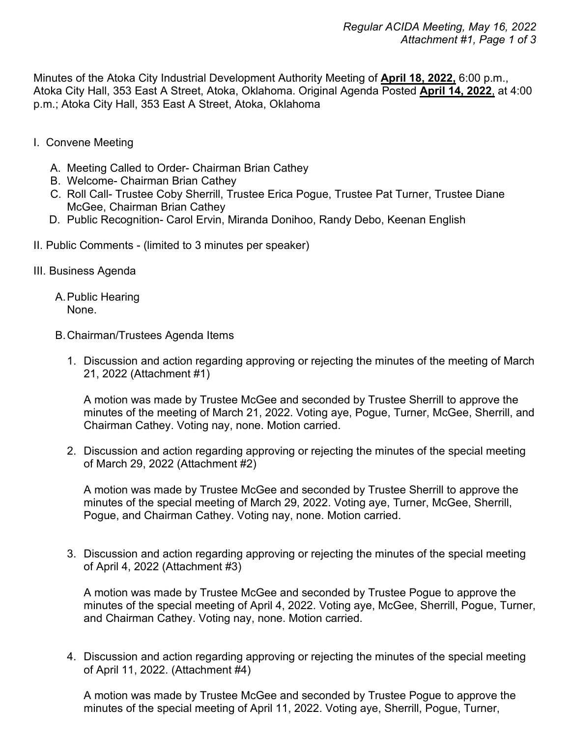Minutes of the Atoka City Industrial Development Authority Meeting of **April 18, 2022,** 6:00 p.m., Atoka City Hall, 353 East A Street, Atoka, Oklahoma. Original Agenda Posted **April 14, 2022**, at 4:00 p.m.; Atoka City Hall, 353 East A Street, Atoka, Oklahoma

- I. Convene Meeting
	- A. Meeting Called to Order- Chairman Brian Cathey
	- B. Welcome- Chairman Brian Cathey
	- C. Roll Call- Trustee Coby Sherrill, Trustee Erica Pogue, Trustee Pat Turner, Trustee Diane McGee, Chairman Brian Cathey
	- D. Public Recognition- Carol Ervin, Miranda Donihoo, Randy Debo, Keenan English
- II. Public Comments (limited to 3 minutes per speaker)
- III. Business Agenda
	- A.Public Hearing None.
	- B.Chairman/Trustees Agenda Items
		- 1. Discussion and action regarding approving or rejecting the minutes of the meeting of March 21, 2022 (Attachment #1)

A motion was made by Trustee McGee and seconded by Trustee Sherrill to approve the minutes of the meeting of March 21, 2022. Voting aye, Pogue, Turner, McGee, Sherrill, and Chairman Cathey. Voting nay, none. Motion carried.

2. Discussion and action regarding approving or rejecting the minutes of the special meeting of March 29, 2022 (Attachment #2)

A motion was made by Trustee McGee and seconded by Trustee Sherrill to approve the minutes of the special meeting of March 29, 2022. Voting aye, Turner, McGee, Sherrill, Pogue, and Chairman Cathey. Voting nay, none. Motion carried.

3. Discussion and action regarding approving or rejecting the minutes of the special meeting of April 4, 2022 (Attachment #3)

A motion was made by Trustee McGee and seconded by Trustee Pogue to approve the minutes of the special meeting of April 4, 2022. Voting aye, McGee, Sherrill, Pogue, Turner, and Chairman Cathey. Voting nay, none. Motion carried.

4. Discussion and action regarding approving or rejecting the minutes of the special meeting of April 11, 2022. (Attachment #4)

A motion was made by Trustee McGee and seconded by Trustee Pogue to approve the minutes of the special meeting of April 11, 2022. Voting aye, Sherrill, Pogue, Turner,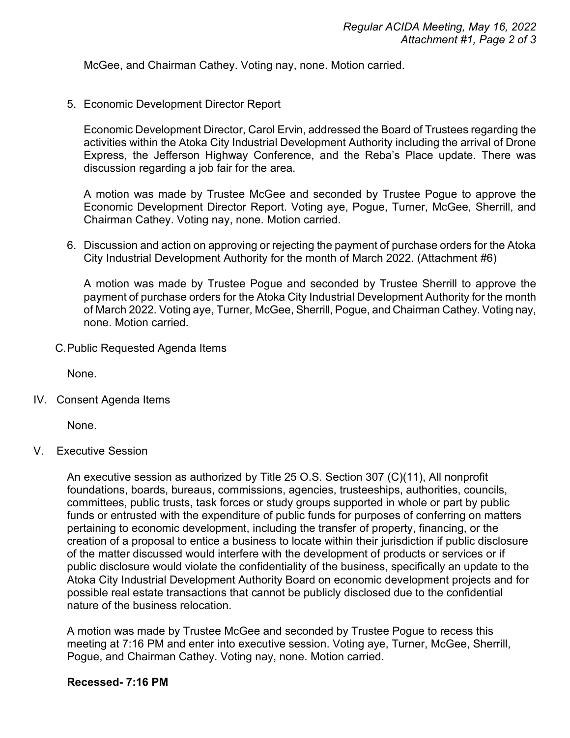McGee, and Chairman Cathey. Voting nay, none. Motion carried.

5. Economic Development Director Report

Economic Development Director, Carol Ervin, addressed the Board of Trustees regarding the activities within the Atoka City Industrial Development Authority including the arrival of Drone Express, the Jefferson Highway Conference, and the Reba's Place update. There was discussion regarding a job fair for the area.

A motion was made by Trustee McGee and seconded by Trustee Pogue to approve the Economic Development Director Report. Voting aye, Pogue, Turner, McGee, Sherrill, and Chairman Cathey. Voting nay, none. Motion carried.

6. Discussion and action on approving or rejecting the payment of purchase orders for the Atoka City Industrial Development Authority for the month of March 2022. (Attachment #6)

A motion was made by Trustee Pogue and seconded by Trustee Sherrill to approve the payment of purchase orders for the Atoka City Industrial Development Authority for the month of March 2022. Voting aye, Turner, McGee, Sherrill, Pogue, and Chairman Cathey. Voting nay, none. Motion carried.

C.Public Requested Agenda Items

None.

IV. Consent Agenda Items

None.

V. Executive Session

An executive session as authorized by Title 25 O.S. Section 307 (C)(11), All nonprofit foundations, boards, bureaus, commissions, agencies, trusteeships, authorities, councils, committees, public trusts, task forces or study groups supported in whole or part by public funds or entrusted with the expenditure of public funds for purposes of conferring on matters pertaining to economic development, including the transfer of property, financing, or the creation of a proposal to entice a business to locate within their jurisdiction if public disclosure of the matter discussed would interfere with the development of products or services or if public disclosure would violate the confidentiality of the business, specifically an update to the Atoka City Industrial Development Authority Board on economic development projects and for possible real estate transactions that cannot be publicly disclosed due to the confidential nature of the business relocation.

A motion was made by Trustee McGee and seconded by Trustee Pogue to recess this meeting at 7:16 PM and enter into executive session. Voting aye, Turner, McGee, Sherrill, Pogue, and Chairman Cathey. Voting nay, none. Motion carried.

## **Recessed- 7:16 PM**